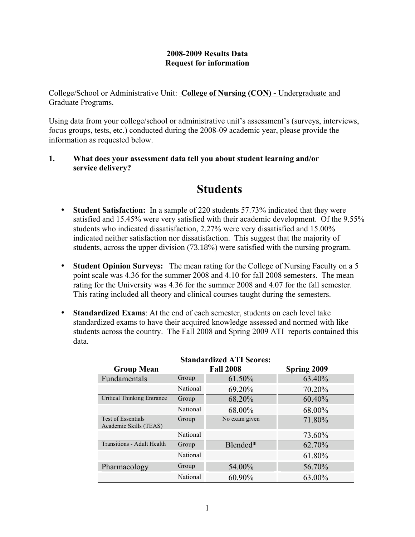## **2008-2009 Results Data Request for information**

College/School or Administrative Unit: **College of Nursing (CON) -** Undergraduate and Graduate Programs.

Using data from your college/school or administrative unit's assessment's (surveys, interviews, focus groups, tests, etc.) conducted during the 2008-09 academic year, please provide the information as requested below.

### **1. What does your assessment data tell you about student learning and/or service delivery?**

# **Students**

- **Student Satisfaction:** In a sample of 220 students 57.73% indicated that they were satisfied and 15.45% were very satisfied with their academic development. Of the 9.55% students who indicated dissatisfaction, 2.27% were very dissatisfied and 15.00% indicated neither satisfaction nor dissatisfaction. This suggest that the majority of students, across the upper division (73.18%) were satisfied with the nursing program.
- **Student Opinion Surveys:** The mean rating for the College of Nursing Faculty on a 5 point scale was 4.36 for the summer 2008 and 4.10 for fall 2008 semesters. The mean rating for the University was 4.36 for the summer 2008 and 4.07 for the fall semester. This rating included all theory and clinical courses taught during the semesters.
- **Standardized Exams**: At the end of each semester, students on each level take standardized exams to have their acquired knowledge assessed and normed with like students across the country. The Fall 2008 and Spring 2009 ATI reports contained this data.

| $\alpha$ and a matrix $\alpha$ is the $\alpha$ . |                  |               |             |  |  |  |  |
|--------------------------------------------------|------------------|---------------|-------------|--|--|--|--|
| <b>Group Mean</b>                                | <b>Fall 2008</b> |               | Spring 2009 |  |  |  |  |
| Fundamentals                                     | Group            | 61.50%        | 63.40%      |  |  |  |  |
|                                                  | National         | 69.20%        | 70.20%      |  |  |  |  |
| Critical Thinking Entrance                       | Group            | 68.20%        | 60.40%      |  |  |  |  |
|                                                  | National         | 68.00%        | 68.00%      |  |  |  |  |
| Test of Essentials<br>Academic Skills (TEAS)     | Group            | No exam given | 71.80%      |  |  |  |  |
|                                                  | National         |               | 73.60%      |  |  |  |  |
| <b>Transitions - Adult Health</b>                | Group            | Blended*      | 62.70%      |  |  |  |  |
|                                                  | National         |               | 61.80%      |  |  |  |  |
| Pharmacology                                     | Group            | 54.00%        | 56.70%      |  |  |  |  |
|                                                  | National         | 60.90%        | 63.00%      |  |  |  |  |

# **Standardized ATI Scores:**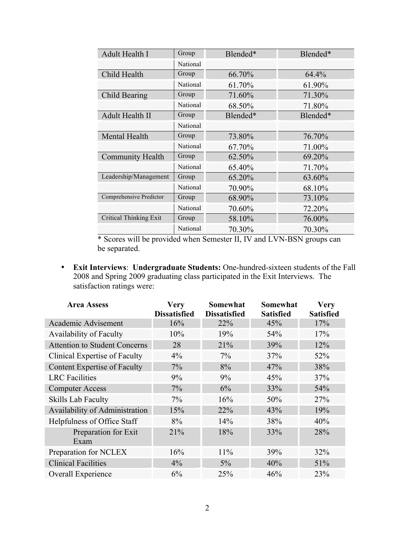| Adult Health I                | Group    | Blended* | Blended* |
|-------------------------------|----------|----------|----------|
|                               | National |          |          |
| Child Health                  | Group    | 66.70%   | 64.4%    |
|                               | National | 61.70%   | 61.90%   |
| Child Bearing                 | Group    | 71.60%   | 71.30%   |
|                               | National | 68.50%   | 71.80%   |
| Adult Health II               | Group    | Blended* | Blended* |
|                               | National |          |          |
| Mental Health                 | Group    | 73.80%   | 76.70%   |
|                               | National | 67.70%   | 71.00%   |
| <b>Community Health</b>       | Group    | 62.50%   | 69.20%   |
|                               | National | 65.40%   | 71.70%   |
| Leadership/Management         | Group    | 65.20%   | 63.60%   |
|                               | National | 70.90%   | 68.10%   |
| Comprehensive Predictor       | Group    | 68.90%   | 73.10%   |
|                               | National | 70.60%   | 72.20%   |
| <b>Critical Thinking Exit</b> | Group    | 58.10%   | 76.00%   |
|                               | National | 70.30%   | 70.30%   |

 \* Scores will be provided when Semester II, IV and LVN-BSN groups can be separated.

• **Exit Interviews**: **Undergraduate Students:** One-hundred-sixteen students of the Fall 2008 and Spring 2009 graduating class participated in the Exit Interviews. The satisfaction ratings were:

| <b>Area Assess</b>                   | <b>Very</b><br><b>Dissatisfied</b> | Somewhat<br><b>Dissatisfied</b> | Somewhat<br><b>Satisfied</b> | <b>Very</b><br><b>Satisfied</b> |
|--------------------------------------|------------------------------------|---------------------------------|------------------------------|---------------------------------|
| Academic Advisement                  | 16%                                | 22%                             | 45%                          | 17%                             |
| Availability of Faculty              | 10%                                | 19%                             | 54%                          | 17%                             |
| <b>Attention to Student Concerns</b> | 28                                 | 21%                             | 39%                          | 12%                             |
| Clinical Expertise of Faculty        | $4\%$                              | $7\%$                           | 37%                          | 52%                             |
| <b>Content Expertise of Faculty</b>  | $7\%$                              | 8%                              | 47%                          | 38%                             |
| <b>LRC</b> Facilities                | 9%                                 | 9%                              | 45%                          | 37%                             |
| <b>Computer Access</b>               | $7\%$                              | 6%                              | 33%                          | 54%                             |
| <b>Skills Lab Faculty</b>            | $7\%$                              | 16%                             | 50%                          | 27%                             |
| Availability of Administration       | 15%                                | 22%                             | 43%                          | 19%                             |
| Helpfulness of Office Staff          | $8\%$                              | 14%                             | 38%                          | 40%                             |
| Preparation for Exit<br>Exam         | 21%                                | 18%                             | 33%                          | 28%                             |
| Preparation for NCLEX                | 16%                                | 11%                             | 39%                          | 32%                             |
| <b>Clinical Facilities</b>           | $4\%$                              | $5\%$                           | 40%                          | 51%                             |
| Overall Experience                   | 6%                                 | 25%                             | 46%                          | 23%                             |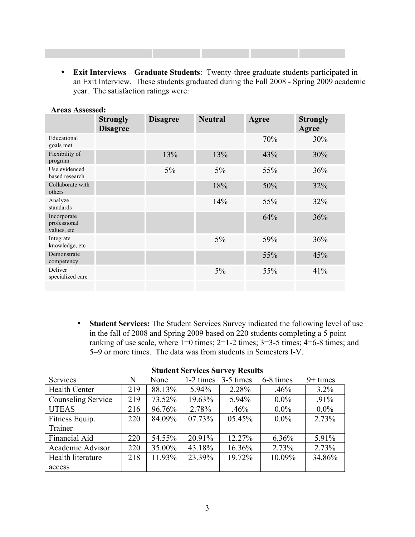• **Exit Interviews – Graduate Students**: Twenty-three graduate students participated in an Exit Interview. These students graduated during the Fall 2008 - Spring 2009 academic year. The satisfaction ratings were:

|                                            |                                    |                 | <b>Neutral</b> |       |                          |
|--------------------------------------------|------------------------------------|-----------------|----------------|-------|--------------------------|
|                                            | <b>Strongly</b><br><b>Disagree</b> | <b>Disagree</b> |                | Agree | <b>Strongly</b><br>Agree |
| Educational<br>goals met                   |                                    |                 |                | 70%   | 30%                      |
| Flexibility of<br>program                  |                                    | 13%             | 13%            | 43%   | 30%                      |
| Use evidenced<br>based research            |                                    | $5\%$           | $5\%$          | 55%   | 36%                      |
| Collaborate with<br>others                 |                                    |                 | 18%            | 50%   | 32%                      |
| Analyze<br>standards                       |                                    |                 | 14%            | 55%   | 32%                      |
| Incorporate<br>professional<br>values, etc |                                    |                 |                | 64%   | 36%                      |
| Integrate<br>knowledge, etc                |                                    |                 | $5\%$          | 59%   | 36%                      |
| Demonstrate<br>competency                  |                                    |                 |                | 55%   | 45%                      |
| Deliver<br>specialized care                |                                    |                 | $5\%$          | 55%   | 41%                      |
|                                            |                                    |                 |                |       |                          |

### **Areas Assessed:**

• **Student Services:** The Student Services Survey indicated the following level of use in the fall of 2008 and Spring 2009 based on 220 students completing a 5 point ranking of use scale, where  $1=0$  times;  $2=1-2$  times;  $3=3-5$  times;  $4=6-8$  times; and 5=9 or more times. The data was from students in Semesters I-V.

| Services                  | N   | None   | $1-2 \times$ | 3-5 times | 6-8 times | $9+$ times |
|---------------------------|-----|--------|--------------|-----------|-----------|------------|
| <b>Health Center</b>      | 219 | 88.13% | 5.94%        | 2.28%     | .46%      | $3.2\%$    |
| <b>Counseling Service</b> | 219 | 73.52% | 19.63%       | 5.94%     | $0.0\%$   | $.91\%$    |
| <b>UTEAS</b>              | 216 | 96.76% | 2.78%        | .46%      | $0.0\%$   | $0.0\%$    |
| Fitness Equip.            | 220 | 84.09% | 07.73%       | 05.45%    | $0.0\%$   | 2.73%      |
| Trainer                   |     |        |              |           |           |            |
| Financial Aid             | 220 | 54.55% | 20.91%       | 12.27%    | $6.36\%$  | 5.91%      |
| Academic Advisor          | 220 | 35.00% | 43.18%       | 16.36%    | 2.73%     | 2.73%      |
| Health literature         | 218 | 11.93% | 23.39%       | 19.72%    | 10.09%    | 34.86%     |
| access                    |     |        |              |           |           |            |

### **Student Services Survey Results**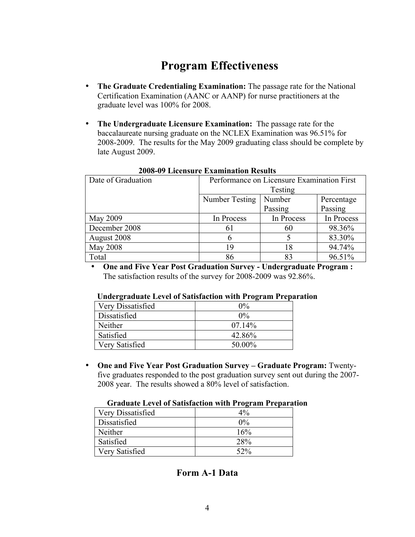# **Program Effectiveness**

- **The Graduate Credentialing Examination:** The passage rate for the National Certification Examination (AANC or AANP) for nurse practitioners at the graduate level was 100% for 2008.
- **The Undergraduate Licensure Examination:** The passage rate for the baccalaureate nursing graduate on the NCLEX Examination was 96.51% for 2008-2009. The results for the May 2009 graduating class should be complete by late August 2009.

| Date of Graduation | Performance on Licensure Examination First |            |            |  |  |
|--------------------|--------------------------------------------|------------|------------|--|--|
|                    | Testing                                    |            |            |  |  |
|                    | Number Testing<br>Number<br>Percentage     |            |            |  |  |
|                    |                                            | Passing    | Passing    |  |  |
| May 2009           | In Process                                 | In Process | In Process |  |  |
| December 2008      | 61                                         | 60         | 98.36%     |  |  |
| August 2008        | 6                                          |            | 83.30%     |  |  |
| May 2008           | 19                                         | 18         | 94.74%     |  |  |
| Total              | 86                                         | 83         | 96.51%     |  |  |

#### **2008-09 Licensure Examination Results**

• **One and Five Year Post Graduation Survey - Undergraduate Program :**  The satisfaction results of the survey for 2008-2009 was 92.86%.

#### **Undergraduate Level of Satisfaction with Program Preparation**

| Very Dissatisfied | $0\%$     |
|-------------------|-----------|
| Dissatisfied      | $0\%$     |
| Neither           | $07.14\%$ |
| Satisfied         | 42.86%    |
| Very Satisfied    | 50.00%    |

• **One and Five Year Post Graduation Survey – Graduate Program:** Twentyfive graduates responded to the post graduation survey sent out during the 2007- 2008 year. The results showed a 80% level of satisfaction.

| Very Dissatisfied | $4\%$      |
|-------------------|------------|
| Dissatisfied      | $0\%$      |
| Neither           | 16%        |
| Satisfied         | <b>28%</b> |
| Very Satisfied    | $52\%$     |

#### **Graduate Level of Satisfaction with Program Preparation**

## **Form A-1 Data**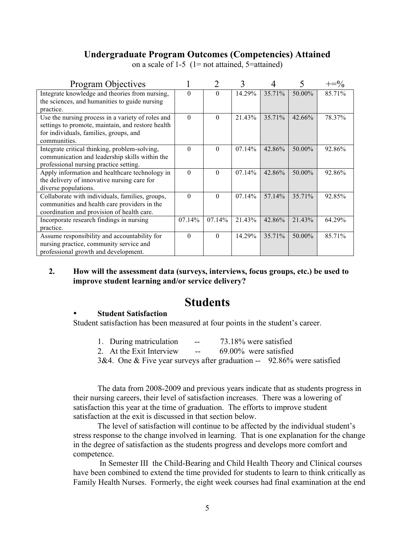## **Undergraduate Program Outcomes (Competencies) Attained**

| <b>Program Objectives</b>                         |          | $\overline{2}$ | 3      |        |        | $+\equiv 0/6$ |
|---------------------------------------------------|----------|----------------|--------|--------|--------|---------------|
| Integrate knowledge and theories from nursing,    | $\theta$ | $\Omega$       | 14.29% | 35.71% | 50.00% | 85.71%        |
| the sciences, and humanities to guide nursing     |          |                |        |        |        |               |
| practice.                                         |          |                |        |        |        |               |
| Use the nursing process in a variety of roles and | $\Omega$ | $\theta$       | 21.43% | 35.71% | 42.66% | 78.37%        |
| settings to promote, maintain, and restore health |          |                |        |        |        |               |
| for individuals, families, groups, and            |          |                |        |        |        |               |
| communities.                                      |          |                |        |        |        |               |
| Integrate critical thinking, problem-solving,     | $\Omega$ | $\theta$       | 07.14% | 42.86% | 50.00% | 92.86%        |
| communication and leadership skills within the    |          |                |        |        |        |               |
| professional nursing practice setting.            |          |                |        |        |        |               |
| Apply information and healthcare technology in    | $\theta$ | $\Omega$       | 07.14% | 42.86% | 50.00% | 92.86%        |
| the delivery of innovative nursing care for       |          |                |        |        |        |               |
| diverse populations.                              |          |                |        |        |        |               |
| Collaborate with individuals, families, groups,   | $\theta$ | $\Omega$       | 07.14% | 57.14% | 35.71% | 92.85%        |
| communities and health care providers in the      |          |                |        |        |        |               |
| coordination and provision of health care.        |          |                |        |        |        |               |
| Incorporate research findings in nursing          | 07.14%   | 07.14%         | 21.43% | 42.86% | 21.43% | 64.29%        |
| practice.                                         |          |                |        |        |        |               |
| Assume responsibility and accountability for      | $\Omega$ | $\Omega$       | 14.29% | 35.71% | 50.00% | 85.71%        |
| nursing practice, community service and           |          |                |        |        |        |               |
| professional growth and development.              |          |                |        |        |        |               |

on a scale of 1-5 (1= not attained, 5=attained)

**2. How will the assessment data (surveys, interviews, focus groups, etc.) be used to improve student learning and/or service delivery?** 

# **Students**

### • **Student Satisfaction**

Student satisfaction has been measured at four points in the student's career.

| 1. During matriculation                                                 | $\sim$ $\sim$            | 73.18% were satisfied    |  |
|-------------------------------------------------------------------------|--------------------------|--------------------------|--|
| 2. At the Exit Interview                                                | <b>Contract Contract</b> | $69.00\%$ were satisfied |  |
| 3&4. One & Five year surveys after graduation $-$ 92.86% were satisfied |                          |                          |  |

The data from 2008-2009 and previous years indicate that as students progress in their nursing careers, their level of satisfaction increases. There was a lowering of satisfaction this year at the time of graduation. The efforts to improve student satisfaction at the exit is discussed in that section below.

The level of satisfaction will continue to be affected by the individual student's stress response to the change involved in learning. That is one explanation for the change in the degree of satisfaction as the students progress and develops more comfort and competence.

 In Semester III the Child-Bearing and Child Health Theory and Clinical courses have been combined to extend the time provided for students to learn to think critically as Family Health Nurses. Formerly, the eight week courses had final examination at the end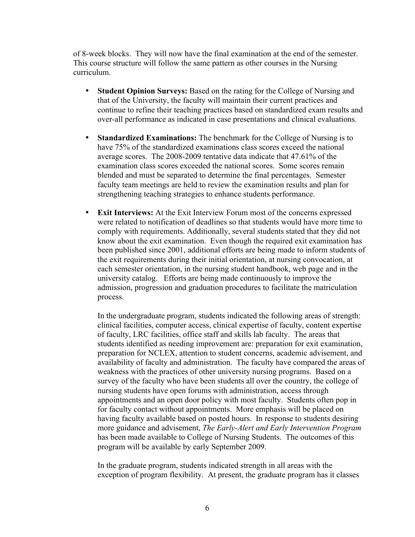of 8-week blocks. They will now have the final examination at the end of the semester. This course structure will follow the same pattern as other courses in the Nursing curriculum.

- **Student Opinion Surveys:** Based on the rating for the College of Nursing and that of the University, the faculty will maintain their current practices and continue to refine their teaching practices based on standardized exam results and over-all performance as indicated in case presentations and clinical evaluations.
- **Standardized Examinations:** The benchmark for the College of Nursing is to have 75% of the standardized examinations class scores exceed the national average scores. The 2008-2009 tentative data indicate that 47.61% of the examination class scores exceeded the national scores. Some scores remain blended and must be separated to determine the final percentages. Semester faculty team meetings are held to review the examination results and plan for strengthening teaching strategies to enhance students performance.
- **Exit Interviews:** At the Exit Interview Forum most of the concerns expressed were related to notification of deadlines so that students would have more time to comply with requirements. Additionally, several students stated that they did not know about the exit examination. Even though the required exit examination has been published since 2001, additional efforts are being made to inform students of the exit requirements during their initial orientation, at nursing convocation, at each semester orientation, in the nursing student handbook, web page and in the university catalog. Efforts are being made continuously to improve the admission, progression and graduation procedures to facilitate the matriculation process.

In the undergraduate program, students indicated the following areas of strength: clinical facilities, computer access, clinical expertise of faculty, content expertise of faculty, LRC facilities, office staff and skills lab faculty. The areas that students identified as needing improvement are: preparation for exit examination, preparation for NCLEX, attention to student concerns, academic advisement, and availability of faculty and administration. The faculty have compared the areas of weakness with the practices of other university nursing programs. Based on a survey of the faculty who have been students all over the country, the college of nursing students have open forums with administration, access through appointments and an open door policy with most faculty. Students often pop in for faculty contact without appointments. More emphasis will be placed on having faculty available based on posted hours. In response to students desiring more guidance and advisement, *The Early-Alert and Early Intervention Program*  has been made available to College of Nursing Students. The outcomes of this program will be available by early September 2009.

In the graduate program, students indicated strength in all areas with the exception of program flexibility. At present, the graduate program has it classes